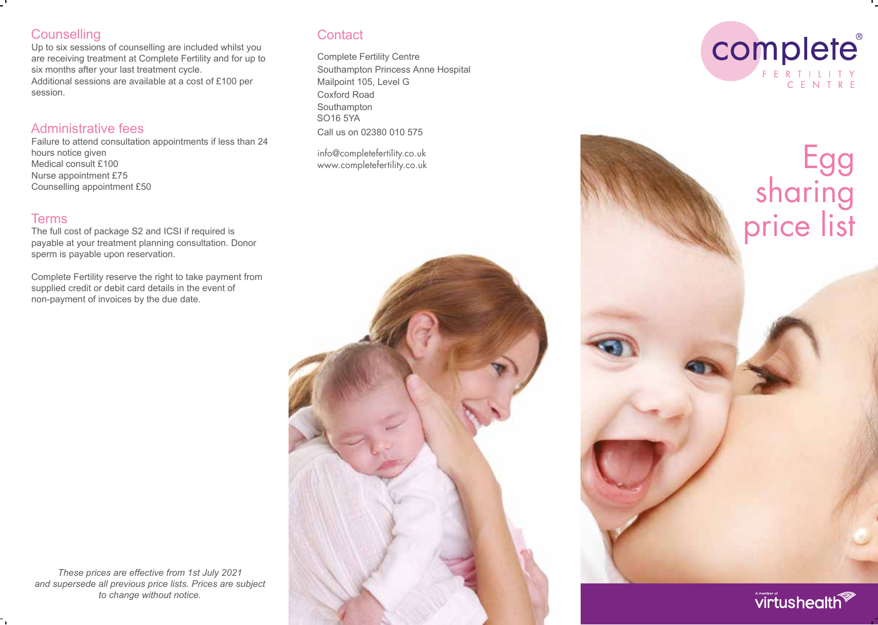# **Counselling**

Up to six sessions of counselling are included whilst you are receiving treatment at Complete Fertility and for up to six months after your last treatment cycle. Additional sessions are available at a cost of £100 per session.

### Administrative fees

Failure to attend consultation appointments if less than 24 hours notice given Medical consult £100 Nurse appointment £75 Counselling appointment £50

### Terms

The full cost of package S2 and ICSI if required is payable at your treatment planning consultation. Donor sperm is payable upon reservation.

Complete Fertility reserve the right to take payment from supplied credit or debit card details in the event of non-payment of invoices by the due date.

**Contact** 

Complete Fertility Centre Southampton Princess Anne Hospital Mailpoint 105, Level G Coxford Road Southampton SO16 5YA Call us on 02380 010 575

info@completefertility.co.uk







virtushealth

*These prices are effective from 1st July 2021 and supersede all previous price lists. Prices are subject to change without notice.*